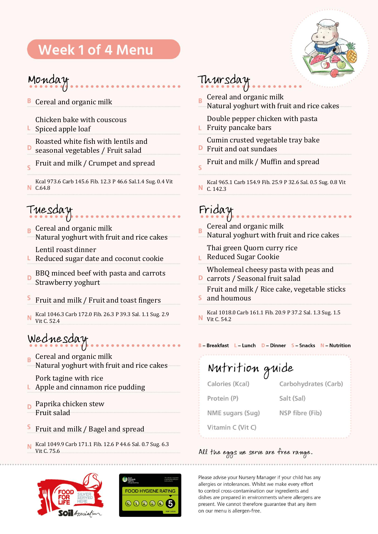# **Week 1 of 4 Menu**



## Monday

В Cereal and organic milk

Chicken bake with couscous

L. Spiced apple loaf

Roasted white fish with lentils and

- D seasonal vegetables / Fruit salad
- Fruit and milk / Crumpet and spread  $\overline{\phantom{0}}$

Kcal 973.6 Carb 145.6 Fib. 12.3 P 46.6 Sal.1.4 Sug. 0.4 Vit N C.64.8

# Tuesday

 $\mathbf{R}$  Cereal and organic milk Natural yoghurt with fruit and rice cakes

Lentil roast dinner

L. Reduced sugar date and coconut cookie

BBQ minced beef with pasta and carrots  $\overline{D}$ Strawberry yoghurt

- S Fruit and milk / Fruit and toast fingers
- Kcal 1046.3 Carb 172.0 Fib. 26.3 P 39.3 Sal. 1.1 Sug. 2.9 N Vit C. 52.4

# Wednesday

- **B** Cereal and organic milk Natural yoghurt with fruit and rice cakes
- Pork tagine with rice **L** Apple and cinnamon rice pudding
- Paprika chicken stew  $\overline{D}$ Fruit salad
- S Fruit and milk / Bagel and spread
- Kcal 1049.9 Carb 171.1 Fib. 12.6 P 44.6 Sal. 0.7 Sug. 6.3 N Vit C. 75.6





## Thursday

- Cereal and organic milk  $\overline{B}$
- Natural yoghurt with fruit and rice cakes
	- Double pepper chicken with pasta
- Fruity pancake bars L.

Cumin crusted vegetable tray bake

- Fruit and oat sundaes
- Fruit and milk / Muffin and spread  $\leq$
- Kcal 965.1 Carb 154.9 Fib. 25.9 P 32.6 Sal. 0.5 Sug. 0.8 Vit N C. 142.3

# Friday

Cereal and organic milk Ŕ Natural yoghurt with fruit and rice cakes

Thai green Quorn curry rice **L** Reduced Sugar Cookie

Wholemeal cheesy pasta with peas and

- **D** carrots / Seasonal fruit salad
- Fruit and milk / Rice cake, vegetable sticks and houmous

Kcal 1018.0 Carb 161.1 Fib. 20.9 P 37.2 Sal. 1.3 Sug. 1.5 N Vit C. 54.2

#### B-Breakfast L-Lunch D-Dinner S-Snacks N-Nutrition

Nutrition guide Calories (Kcal) Carbohydrates (Carb) Protein (P) Salt (Sal) NME sugars (Sug) NSP fibre (Fib) Vitamin C (Vit C)

## All the eggs we serve are free range.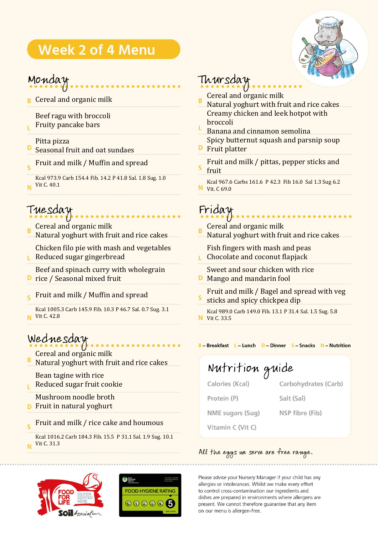# **Week 2 of 4 Menu**



## Monday

**B** Cereal and organic milk

Beef ragu with broccoli

Fruity pancake bars

## Pitta pizza

- D Seasonal fruit and oat sundaes
- Fruit and milk / Muffin and spread Ś

Kcal 973.9 Carb 154.4 Fib. 14.2 P 41.8 Sal. 1.8 Sug. 1.0 Vit C. 40.1 N

# Tuesday

Cereal and organic milk

Natural yoghurt with fruit and rice cakes

Chicken filo pie with mash and vegetables **Reduced sugar gingerbread** 

Beef and spinach curry with wholegrain

- D rice / Seasonal mixed fruit
- Fruit and milk / Muffin and spread

Kcal 1005.3 Carb 145.9 Fib. 10.3 P 46.7 Sal. 0.7 Sug. 3.1 **N** Vit C. 42.8

# Wednesday

Cereal and organic milk

Natural yoghurt with fruit and rice cakes

Bean tagine with rice

Reduced sugar fruit cookie Ë

Mushroom noodle broth

- **D** Fruit in natural yoghurt
- Fruit and milk / rice cake and houmous  $\overline{\phantom{a}}$

Kcal 1016.2 Carb 184.3 Fib. 15.5 P 31.1 Sal. 1.9 Sug. 10.1 Vit C. 31.3N





# Thursday

- Cereal and organic milk
- Natural yoghurt with fruit and rice cakes Creamy chicken and leek hotpot with broccoli
- Banana and cinnamon semolina Spicy butternut squash and parsnip soup
- Fruit platter
- Fruit and milk / pittas, pepper sticks and fruit
- Kcal 967.6 Carbs 161.6 P 42.3 Fib 16.0 Sal 1.3 Sug 6.2 **N** Vit. C 69.0

# Friday

Cereal and organic milk Natural yoghurt with fruit and rice cakes

Fish fingers with mash and peas **L** Chocolate and coconut flapjack

- Sweet and sour chicken with rice
- **D** Mango and mandarin fool
- Fruit and milk / Bagel and spread with veg sticks and spicy chickpea dip

Kcal 989.0 Carb 149.0 Fib. 13.1 P 31.4 Sal. 1.5 Sug. 5.8 **N** Vit C. 33.5

### B - Breakfast L - Lunch D - Dinner S - Snacks N - Nutrition

#### Nutrition guide Carbohydrates (Carb) Calories (Kcal) Protein (P) Salt (Sal)

NSP fibre (Fib)

NME sugars (Sug)

Vitamin C (Vit C)

## All the eggs we serve are free range.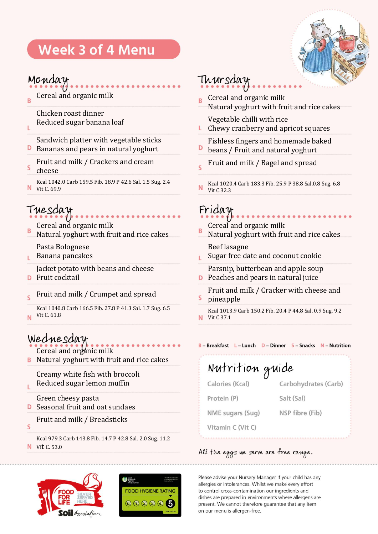# **Week 3 of 4 Menu**

## Monday

Cereal and organic milk  $\overline{B}$ 

> Chicken roast dinner Reduced sugar banana loaf

Sandwich platter with vegetable sticks D Bananas and pears in natural yoghurt

- Fruit and milk / Crackers and cream
- S cheese

Ĺ

Kcal 1042.0 Carb 159.5 Fib. 18.9 P 42.6 Sal. 1.5 Sug. 2.4 N Vit C. 69.9

# Tuesday

Cereal and organic milk

R Natural yoghurt with fruit and rice cakes

Pasta Bolognese

Banana pancakes Ë

Jacket potato with beans and cheese

- Fruit cocktail D
- Fruit and milk / Crumpet and spread  $\epsilon$

Kcal 1040.8 Carb 166.5 Fib. 27.8 P 41.3 Sal. 1.7 Sug. 6.5 Vit C. 61.8 N.

## Wednesday

Cereal and organic milk

**B** Natural yoghurt with fruit and rice cakes

Creamy white fish with broccoli Reduced sugar lemon muffin

## Green cheesy pasta

- **D** Seasonal fruit and oat sundaes
- Fruit and milk / Breadsticks S

Kcal 979.3 Carb 143.8 Fib. 14.7 P 42.8 Sal. 2.0 Sug. 11.2 **N** Vit C. 53.0

Ë



# Thursday



- Cereal and organic milk Ŕ Natural yoghurt with fruit and rice cakes
	- Vegetable chilli with rice Chewy cranberry and apricot squares

Fishless fingers and homemade baked

- D beans / Fruit and natural yoghurt
- Fruit and milk / Bagel and spread  $\leq$
- Kcal 1020.4 Carb 183.3 Fib. 25.9 P 38.8 Sal.0.8 Sug. 6.8 N Vit C.32.3

Friday

- Cereal and organic milk B
- Natural yoghurt with fruit and rice cakes

Beef lasagne

- Sugar free date and coconut cookie ï.
- Parsnip, butterbean and apple soup **P** Peaches and pears in natural juice
- Fruit and milk / Cracker with cheese and S pineapple

Kcal 1013.9 Carb 150.2 Fib. 20.4 P 44.8 Sal. 0.9 Sug. 9.2 **N** Vit C.37.1

#### B-Breakfast L-Lunch D-Dinner S-Snacks N-Nutrition

Nutrition guide Calories (Kcal) Carbohydrates (Carb) Protein (P) Salt (Sal) NME sugars (Sug) NSP fibre (Fib) Vitamin C (Vit C)

#### All the eggs we serve are free range.